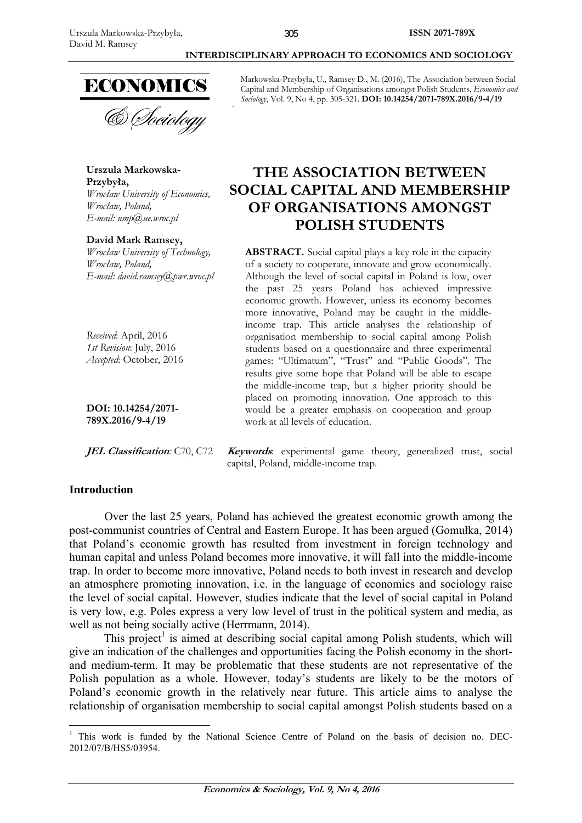

**Urszula Markowska-Przybyła,**  *Wrocław University of Economics, Wrocław, Poland, E-mail: ump@ue.wroc.pl* 

**David Mark Ramsey,**  *Wrocław University of Technology, Wrocław, Poland, E-mail: david.ramsey@pwr.wroc.pl* 

*Received*: April, 2016 *1st Revision*: July, 2016 *Accepted*: October, 2016

**DOI: 10.14254/2071- 789X.2016/9-4/19**

### **JEL Classification***:* C70, C72 **Keywords**: experimental game theory, generalized trust, social capital, Poland, middle-income trap.

# **Introduction**

Over the last 25 years, Poland has achieved the greatest economic growth among the post-communist countries of Central and Eastern Europe. It has been argued (Gomułka, 2014) that Poland's economic growth has resulted from investment in foreign technology and human capital and unless Poland becomes more innovative, it will fall into the middle-income trap. In order to become more innovative, Poland needs to both invest in research and develop an atmosphere promoting innovation, i.e. in the language of economics and sociology raise the level of social capital. However, studies indicate that the level of social capital in Poland is very low, e.g. Poles express a very low level of trust in the political system and media, as well as not being socially active (Herrmann, 2014).

This project<sup>1</sup> is aimed at describing social capital among Polish students, which will give an indication of the challenges and opportunities facing the Polish economy in the shortand medium-term. It may be problematic that these students are not representative of the Polish population as a whole. However, today's students are likely to be the motors of Poland's economic growth in the relatively near future. This article aims to analyse the relationship of organisation membership to social capital amongst Polish students based on a

Markowska-Przybyła, U., Ramsey D., M. (2016), The Association between Social Capital and Membership of Organisations amongst Polish Students, *Economics and Sociology*, Vol. 9, No 4, pp. 305-321. **DOI: 10.14254/2071-789X.2016/9-4/19** 

 **INTERDISCIPLINARY APPROACH TO ECONOMICS AND SOCIOLOGY** 

# **THE ASSOCIATION BETWEEN SOCIAL CAPITAL AND MEMBERSHIP OF ORGANISATIONS AMONGST POLISH STUDENTS**

**ABSTRACT.** Social capital plays a key role in the capacity of a society to cooperate, innovate and grow economically. Although the level of social capital in Poland is low, over the past 25 years Poland has achieved impressive economic growth. However, unless its economy becomes more innovative, Poland may be caught in the middleincome trap. This article analyses the relationship of organisation membership to social capital among Polish students based on a questionnaire and three experimental games: "Ultimatum", "Trust" and "Public Goods". The results give some hope that Poland will be able to escape the middle-income trap, but a higher priority should be placed on promoting innovation. One approach to this would be a greater emphasis on cooperation and group work at all levels of education.

**Economics & Sociology, Vol. 9, No 4, 2016** 

<sup>&</sup>lt;u>.</u> <sup>1</sup> This work is funded by the National Science Centre of Poland on the basis of decision no. DEC-2012/07/B/HS5/03954.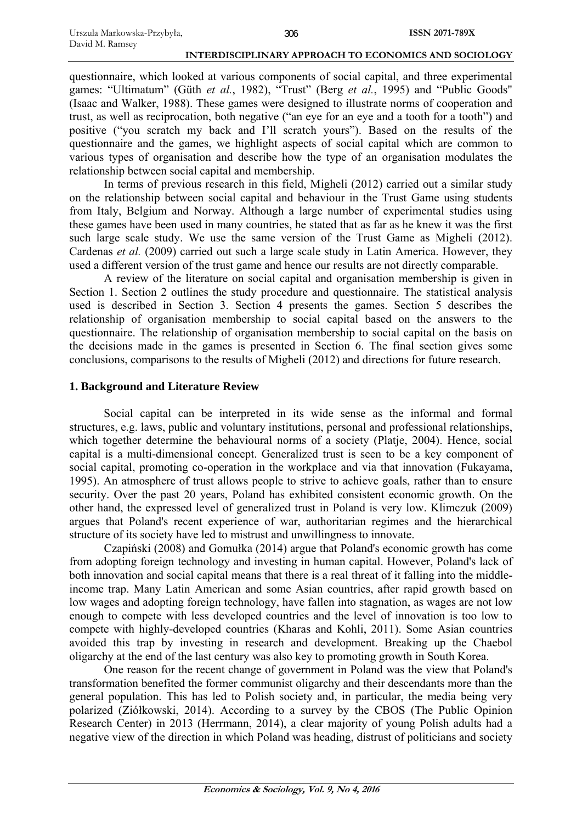questionnaire, which looked at various components of social capital, and three experimental games: "Ultimatum" (Güth *et al.*, 1982), "Trust" (Berg *et al.*, 1995) and "Public Goods" (Isaac and Walker, 1988). These games were designed to illustrate norms of cooperation and trust, as well as reciprocation, both negative ("an eye for an eye and a tooth for a tooth") and positive ("you scratch my back and I'll scratch yours"). Based on the results of the questionnaire and the games, we highlight aspects of social capital which are common to various types of organisation and describe how the type of an organisation modulates the relationship between social capital and membership.

In terms of previous research in this field, Migheli (2012) carried out a similar study on the relationship between social capital and behaviour in the Trust Game using students from Italy, Belgium and Norway. Although a large number of experimental studies using these games have been used in many countries, he stated that as far as he knew it was the first such large scale study. We use the same version of the Trust Game as Migheli (2012). Cardenas *et al.* (2009) carried out such a large scale study in Latin America. However, they used a different version of the trust game and hence our results are not directly comparable.

A review of the literature on social capital and organisation membership is given in Section 1. Section 2 outlines the study procedure and questionnaire. The statistical analysis used is described in Section 3. Section 4 presents the games. Section 5 describes the relationship of organisation membership to social capital based on the answers to the questionnaire. The relationship of organisation membership to social capital on the basis on the decisions made in the games is presented in Section 6. The final section gives some conclusions, comparisons to the results of Migheli (2012) and directions for future research.

### **1. Background and Literature Review**

Social capital can be interpreted in its wide sense as the informal and formal structures, e.g. laws, public and voluntary institutions, personal and professional relationships, which together determine the behavioural norms of a society (Platje, 2004). Hence, social capital is a multi-dimensional concept. Generalized trust is seen to be a key component of social capital, promoting co-operation in the workplace and via that innovation (Fukayama, 1995). An atmosphere of trust allows people to strive to achieve goals, rather than to ensure security. Over the past 20 years, Poland has exhibited consistent economic growth. On the other hand, the expressed level of generalized trust in Poland is very low. Klimczuk (2009) argues that Poland's recent experience of war, authoritarian regimes and the hierarchical structure of its society have led to mistrust and unwillingness to innovate.

Czapiński (2008) and Gomułka (2014) argue that Poland's economic growth has come from adopting foreign technology and investing in human capital. However, Poland's lack of both innovation and social capital means that there is a real threat of it falling into the middleincome trap. Many Latin American and some Asian countries, after rapid growth based on low wages and adopting foreign technology, have fallen into stagnation, as wages are not low enough to compete with less developed countries and the level of innovation is too low to compete with highly-developed countries (Kharas and Kohli, 2011). Some Asian countries avoided this trap by investing in research and development. Breaking up the Chaebol oligarchy at the end of the last century was also key to promoting growth in South Korea.

One reason for the recent change of government in Poland was the view that Poland's transformation benefited the former communist oligarchy and their descendants more than the general population. This has led to Polish society and, in particular, the media being very polarized (Ziółkowski, 2014). According to a survey by the CBOS (The Public Opinion Research Center) in 2013 (Herrmann, 2014), a clear majority of young Polish adults had a negative view of the direction in which Poland was heading, distrust of politicians and society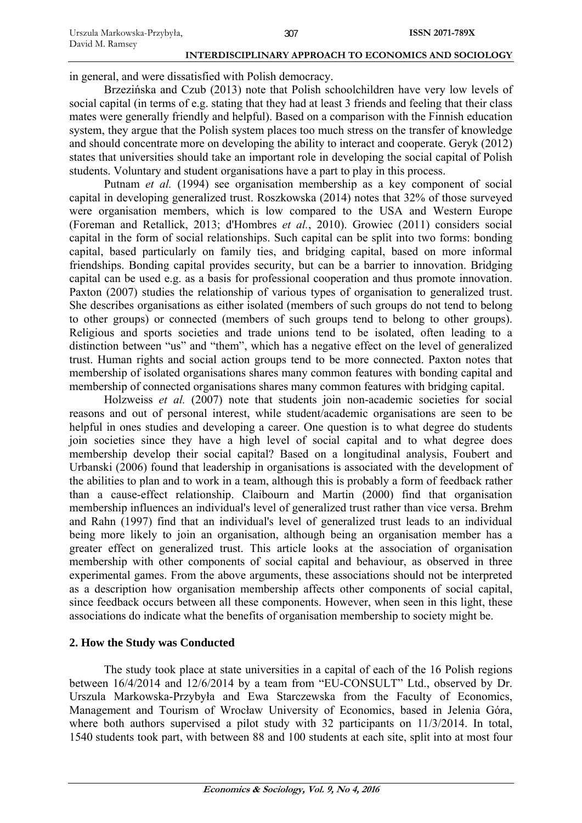in general, and were dissatisfied with Polish democracy.

Brzezińska and Czub (2013) note that Polish schoolchildren have very low levels of social capital (in terms of e.g. stating that they had at least 3 friends and feeling that their class mates were generally friendly and helpful). Based on a comparison with the Finnish education system, they argue that the Polish system places too much stress on the transfer of knowledge and should concentrate more on developing the ability to interact and cooperate. Geryk (2012) states that universities should take an important role in developing the social capital of Polish students. Voluntary and student organisations have a part to play in this process.

Putnam *et al.* (1994) see organisation membership as a key component of social capital in developing generalized trust. Roszkowska (2014) notes that 32% of those surveyed were organisation members, which is low compared to the USA and Western Europe (Foreman and Retallick, 2013; d'Hombres *et al.*, 2010). Growiec (2011) considers social capital in the form of social relationships. Such capital can be split into two forms: bonding capital, based particularly on family ties, and bridging capital, based on more informal friendships. Bonding capital provides security, but can be a barrier to innovation. Bridging capital can be used e.g. as a basis for professional cooperation and thus promote innovation. Paxton (2007) studies the relationship of various types of organisation to generalized trust. She describes organisations as either isolated (members of such groups do not tend to belong to other groups) or connected (members of such groups tend to belong to other groups). Religious and sports societies and trade unions tend to be isolated, often leading to a distinction between "us" and "them", which has a negative effect on the level of generalized trust. Human rights and social action groups tend to be more connected. Paxton notes that membership of isolated organisations shares many common features with bonding capital and membership of connected organisations shares many common features with bridging capital.

Holzweiss *et al.* (2007) note that students join non-academic societies for social reasons and out of personal interest, while student/academic organisations are seen to be helpful in ones studies and developing a career. One question is to what degree do students join societies since they have a high level of social capital and to what degree does membership develop their social capital? Based on a longitudinal analysis, Foubert and Urbanski (2006) found that leadership in organisations is associated with the development of the abilities to plan and to work in a team, although this is probably a form of feedback rather than a cause-effect relationship. Claibourn and Martin (2000) find that organisation membership influences an individual's level of generalized trust rather than vice versa. Brehm and Rahn (1997) find that an individual's level of generalized trust leads to an individual being more likely to join an organisation, although being an organisation member has a greater effect on generalized trust. This article looks at the association of organisation membership with other components of social capital and behaviour, as observed in three experimental games. From the above arguments, these associations should not be interpreted as a description how organisation membership affects other components of social capital, since feedback occurs between all these components. However, when seen in this light, these associations do indicate what the benefits of organisation membership to society might be.

### **2. How the Study was Conducted**

The study took place at state universities in a capital of each of the 16 Polish regions between 16/4/2014 and 12/6/2014 by a team from "EU-CONSULT" Ltd., observed by Dr. Urszula Markowska-Przybyła and Ewa Starczewska from the Faculty of Economics, Management and Tourism of Wrocław University of Economics, based in Jelenia Góra, where both authors supervised a pilot study with 32 participants on 11/3/2014. In total, 1540 students took part, with between 88 and 100 students at each site, split into at most four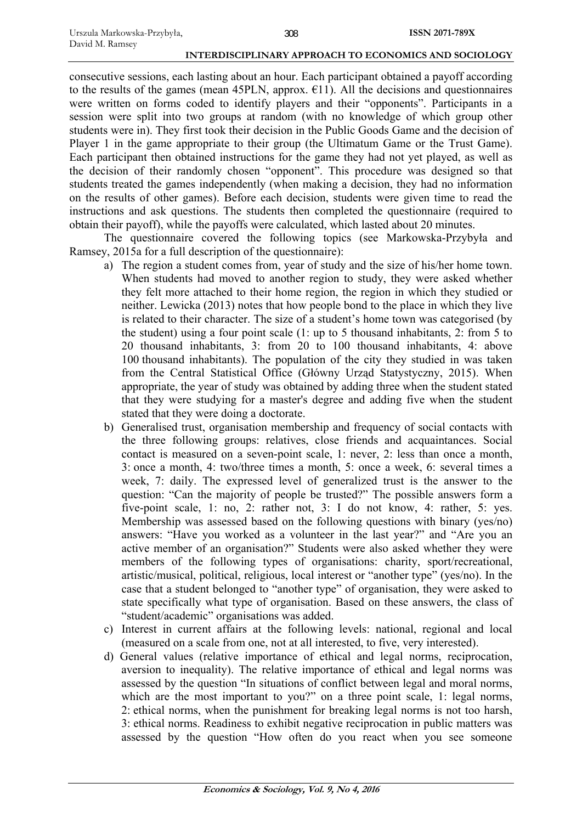consecutive sessions, each lasting about an hour. Each participant obtained a payoff according to the results of the games (mean 45PLN, approx.  $E11$ ). All the decisions and questionnaires were written on forms coded to identify players and their "opponents". Participants in a session were split into two groups at random (with no knowledge of which group other students were in). They first took their decision in the Public Goods Game and the decision of Player 1 in the game appropriate to their group (the Ultimatum Game or the Trust Game). Each participant then obtained instructions for the game they had not yet played, as well as the decision of their randomly chosen "opponent". This procedure was designed so that students treated the games independently (when making a decision, they had no information on the results of other games). Before each decision, students were given time to read the instructions and ask questions. The students then completed the questionnaire (required to obtain their payoff), while the payoffs were calculated, which lasted about 20 minutes.

The questionnaire covered the following topics (see Markowska-Przybyła and Ramsey, 2015a for a full description of the questionnaire):

- a) The region a student comes from, year of study and the size of his/her home town. When students had moved to another region to study, they were asked whether they felt more attached to their home region, the region in which they studied or neither. Lewicka (2013) notes that how people bond to the place in which they live is related to their character. The size of a student's home town was categorised (by the student) using a four point scale (1: up to 5 thousand inhabitants, 2: from 5 to 20 thousand inhabitants, 3: from 20 to 100 thousand inhabitants, 4: above 100 thousand inhabitants). The population of the city they studied in was taken from the Central Statistical Office (Główny Urząd Statystyczny, 2015). When appropriate, the year of study was obtained by adding three when the student stated that they were studying for a master's degree and adding five when the student stated that they were doing a doctorate.
- b) Generalised trust, organisation membership and frequency of social contacts with the three following groups: relatives, close friends and acquaintances. Social contact is measured on a seven-point scale, 1: never, 2: less than once a month, 3: once a month, 4: two/three times a month, 5: once a week, 6: several times a week, 7: daily. The expressed level of generalized trust is the answer to the question: "Can the majority of people be trusted?" The possible answers form a five-point scale, 1: no, 2: rather not, 3: I do not know, 4: rather, 5: yes. Membership was assessed based on the following questions with binary (yes/no) answers: "Have you worked as a volunteer in the last year?" and "Are you an active member of an organisation?" Students were also asked whether they were members of the following types of organisations: charity, sport/recreational, artistic/musical, political, religious, local interest or "another type" (yes/no). In the case that a student belonged to "another type" of organisation, they were asked to state specifically what type of organisation. Based on these answers, the class of "student/academic" organisations was added.
- c) Interest in current affairs at the following levels: national, regional and local (measured on a scale from one, not at all interested, to five, very interested).
- d) General values (relative importance of ethical and legal norms, reciprocation, aversion to inequality). The relative importance of ethical and legal norms was assessed by the question "In situations of conflict between legal and moral norms, which are the most important to you?" on a three point scale, 1: legal norms, 2: ethical norms, when the punishment for breaking legal norms is not too harsh, 3: ethical norms. Readiness to exhibit negative reciprocation in public matters was assessed by the question "How often do you react when you see someone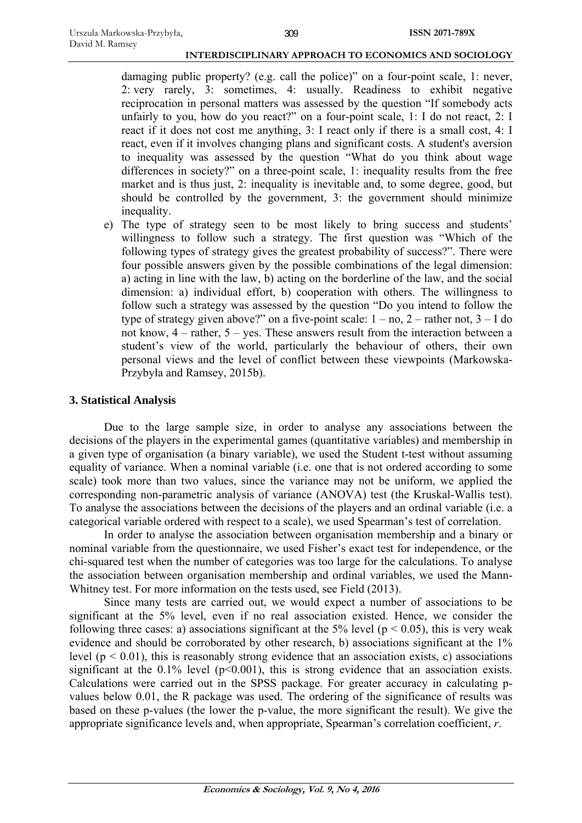damaging public property? (e.g. call the police)" on a four-point scale, 1: never, 2: very rarely, 3: sometimes, 4: usually. Readiness to exhibit negative reciprocation in personal matters was assessed by the question "If somebody acts unfairly to you, how do you react?" on a four-point scale, 1: I do not react, 2: I react if it does not cost me anything, 3: I react only if there is a small cost, 4: I react, even if it involves changing plans and significant costs. A student's aversion to inequality was assessed by the question "What do you think about wage differences in society?" on a three-point scale, 1: inequality results from the free market and is thus just, 2: inequality is inevitable and, to some degree, good, but should be controlled by the government, 3: the government should minimize inequality.

e) The type of strategy seen to be most likely to bring success and students' willingness to follow such a strategy. The first question was "Which of the following types of strategy gives the greatest probability of success?". There were four possible answers given by the possible combinations of the legal dimension: a) acting in line with the law, b) acting on the borderline of the law, and the social dimension: a) individual effort, b) cooperation with others. The willingness to follow such a strategy was assessed by the question "Do you intend to follow the type of strategy given above?" on a five-point scale:  $1 - no$ ,  $2 -$ rather not,  $3 - I$  do not know, 4 – rather, 5 – yes. These answers result from the interaction between a student's view of the world, particularly the behaviour of others, their own personal views and the level of conflict between these viewpoints (Markowska-Przybyła and Ramsey, 2015b).

# **3. Statistical Analysis**

Due to the large sample size, in order to analyse any associations between the decisions of the players in the experimental games (quantitative variables) and membership in a given type of organisation (a binary variable), we used the Student t-test without assuming equality of variance. When a nominal variable (i.e. one that is not ordered according to some scale) took more than two values, since the variance may not be uniform, we applied the corresponding non-parametric analysis of variance (ANOVA) test (the Kruskal-Wallis test). To analyse the associations between the decisions of the players and an ordinal variable (i.e. a categorical variable ordered with respect to a scale), we used Spearman's test of correlation.

In order to analyse the association between organisation membership and a binary or nominal variable from the questionnaire, we used Fisher's exact test for independence, or the chi-squared test when the number of categories was too large for the calculations. To analyse the association between organisation membership and ordinal variables, we used the Mann-Whitney test. For more information on the tests used, see Field (2013).

Since many tests are carried out, we would expect a number of associations to be significant at the 5% level, even if no real association existed. Hence, we consider the following three cases: a) associations significant at the 5% level ( $p < 0.05$ ), this is very weak evidence and should be corroborated by other research, b) associations significant at the 1% level ( $p < 0.01$ ), this is reasonably strong evidence that an association exists, c) associations significant at the  $0.1\%$  level (p<0.001), this is strong evidence that an association exists. Calculations were carried out in the SPSS package. For greater accuracy in calculating pvalues below 0.01, the R package was used. The ordering of the significance of results was based on these p-values (the lower the p-value, the more significant the result). We give the appropriate significance levels and, when appropriate, Spearman's correlation coefficient, *r*.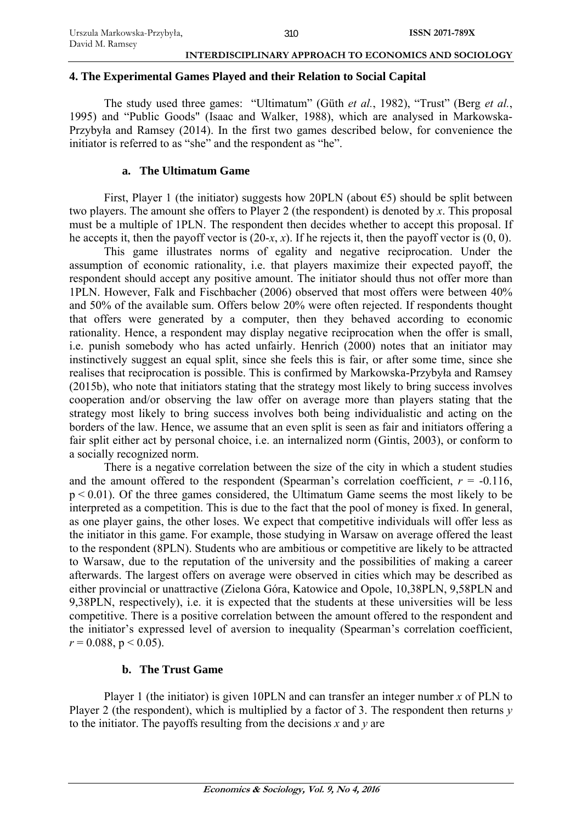### **4. The Experimental Games Played and their Relation to Social Capital**

The study used three games: "Ultimatum" (Güth *et al.*, 1982), "Trust" (Berg *et al.*, 1995) and "Public Goods" (Isaac and Walker, 1988), which are analysed in Markowska-Przybyła and Ramsey (2014). In the first two games described below, for convenience the initiator is referred to as "she" and the respondent as "he".

## **a. The Ultimatum Game**

First, Player 1 (the initiator) suggests how 20PLN (about  $\epsilon$ 5) should be split between two players. The amount she offers to Player 2 (the respondent) is denoted by *x*. This proposal must be a multiple of 1PLN. The respondent then decides whether to accept this proposal. If he accepts it, then the payoff vector is  $(20-x, x)$ . If he rejects it, then the payoff vector is  $(0, 0)$ .

This game illustrates norms of egality and negative reciprocation. Under the assumption of economic rationality, i.e. that players maximize their expected payoff, the respondent should accept any positive amount. The initiator should thus not offer more than 1PLN. However, Falk and Fischbacher (2006) observed that most offers were between 40% and 50% of the available sum. Offers below 20% were often rejected. If respondents thought that offers were generated by a computer, then they behaved according to economic rationality. Hence, a respondent may display negative reciprocation when the offer is small, i.e. punish somebody who has acted unfairly. Henrich (2000) notes that an initiator may instinctively suggest an equal split, since she feels this is fair, or after some time, since she realises that reciprocation is possible. This is confirmed by Markowska-Przybyła and Ramsey (2015b), who note that initiators stating that the strategy most likely to bring success involves cooperation and/or observing the law offer on average more than players stating that the strategy most likely to bring success involves both being individualistic and acting on the borders of the law. Hence, we assume that an even split is seen as fair and initiators offering a fair split either act by personal choice, i.e. an internalized norm (Gintis, 2003), or conform to a socially recognized norm.

There is a negative correlation between the size of the city in which a student studies and the amount offered to the respondent (Spearman's correlation coefficient,  $r = -0.116$ ,  $p < 0.01$ ). Of the three games considered, the Ultimatum Game seems the most likely to be interpreted as a competition. This is due to the fact that the pool of money is fixed. In general, as one player gains, the other loses. We expect that competitive individuals will offer less as the initiator in this game. For example, those studying in Warsaw on average offered the least to the respondent (8PLN). Students who are ambitious or competitive are likely to be attracted to Warsaw, due to the reputation of the university and the possibilities of making a career afterwards. The largest offers on average were observed in cities which may be described as either provincial or unattractive (Zielona Góra, Katowice and Opole, 10,38PLN, 9,58PLN and 9,38PLN, respectively), i.e. it is expected that the students at these universities will be less competitive. There is a positive correlation between the amount offered to the respondent and the initiator's expressed level of aversion to inequality (Spearman's correlation coefficient,  $r = 0.088$ ,  $p < 0.05$ ).

# **b. The Trust Game**

Player 1 (the initiator) is given 10PLN and can transfer an integer number *x* of PLN to Player 2 (the respondent), which is multiplied by a factor of 3. The respondent then returns *y* to the initiator. The payoffs resulting from the decisions *x* and *y* are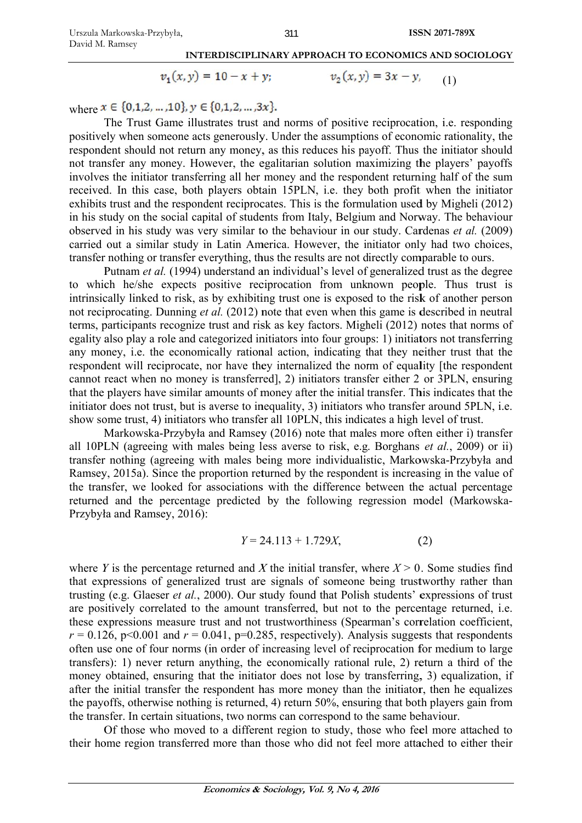<sup>311</sup><br>INTERDISCIPLINARY APPROACH TO ECONOMICS AND SOCIOLOGY

$$
v_1(x, y) = 10 - x + y; \qquad v_2(x, y) = 3x - y, \qquad (1)
$$

where  $x \in \{0,1,2,...,10\}$ ,  $y \in \{0,1,2,...,3x\}$ .

The Trust Game illustrates trust and norms of positive reciprocation, i.e. responding positively when someone acts generously. Under the assumptions of economic rationality, the respondent should not return any money, as this reduces his payoff. Thus the initiator should not transfer any money. However, the egalitarian solution maximizing the players' payoffs involves the initiator transferring all her money and the respondent returning half of the sum received. In this case, both players obtain 15PLN, i.e. they both profit when the initiator exhibits trust and the respondent reciprocates. This is the formulation used by Migheli (2012) in his study on the social capital of students from Italy, Belgium and Norway. The behaviour observed in his study was very similar to the behaviour in our study. Cardenas *et al.* (2009) carried out a similar study in Latin America. However, the initiator only had two choices, transfer nothing or transfer everything, thus the results are not directly comparable to ours.

Putnam et al. (1994) understand an individual's level of generalized trust as the degree to which he/she expects positive reciprocation from unknown people. Thus trust is intrinsically linked to risk, as by exhibiting trust one is exposed to the risk of another person not reciprocating. Dunning et al. (2012) note that even when this game is described in neutral terms, participants recognize trust and risk as key factors. Migheli (2012) notes that norms of egality also play a role and categorized initiators into four groups: 1) initiators not transferring any money, i.e. the economically rational action, indicating that they neither trust that the respondent will reciprocate, nor have they internalized the norm of equality [the respondent cannot react when no money is transferred], 2) initiators transfer either 2 or 3PLN, ensuring that the players have similar amounts of money after the initial transfer. This indicates that the initiator does not trust, but is averse to inequality, 3) initiators who transfer around 5PLN, i.e. show some trust, 4) initiators who transfer all 10PLN, this indicates a high level of trust.

Markowska-Przybyła and Ramsey (2016) note that males more often either i) transfer all 10PLN (agreeing with males being less averse to risk, e.g. Borghans et al., 2009) or ii) transfer nothing (agreeing with males being more individualistic, Markowska-Przybyła and Ramsey, 2015a). Since the proportion returned by the respondent is increasing in the value of the transfer, we looked for associations with the difference between the actual percentage returned and the percentage predicted by the following regression model (Markowska-Przybyła and Ramsey, 2016):

$$
Y = 24.113 + 1.729X, \tag{2}
$$

where *Y* is the percentage returned and *X* the initial transfer, where  $X > 0$ . Some studies find that expressions of generalized trust are signals of someone being trustworthy rather than trusting (e.g. Glaeser *et al.*, 2000). Our study found that Polish students' expressions of trust are positively correlated to the amount transferred, but not to the percentage returned, i.e. these expressions measure trust and not trustworthiness (Spearman's correlation coefficient,  $r = 0.126$ , p<0.001 and  $r = 0.041$ , p=0.285, respectively). Analysis suggests that respondents often use one of four norms (in order of increasing level of reciprocation for medium to large transfers): 1) never return anything, the economically rational rule, 2) return a third of the money obtained, ensuring that the initiator does not lose by transferring, 3) equalization, if after the initial transfer the respondent has more money than the initiator, then he equalizes the payoffs, otherwise nothing is returned, 4) return 50%, ensuring that both players gain from the transfer. In certain situations, two norms can correspond to the same behaviour.

Of those who moved to a different region to study, those who feel more attached to their home region transferred more than those who did not feel more attached to either their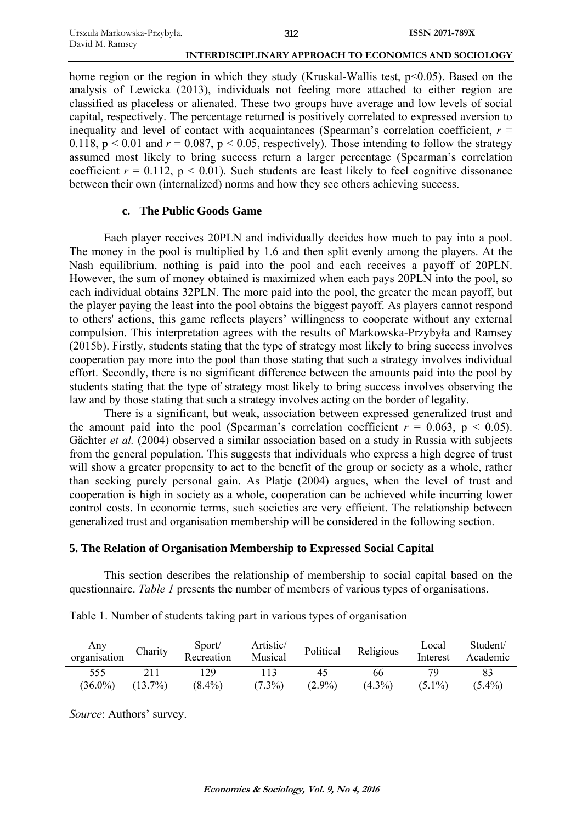home region or the region in which they study (Kruskal-Wallis test,  $p \le 0.05$ ). Based on the analysis of Lewicka (2013), individuals not feeling more attached to either region are classified as placeless or alienated. These two groups have average and low levels of social capital, respectively. The percentage returned is positively correlated to expressed aversion to inequality and level of contact with acquaintances (Spearman's correlation coefficient,  $r =$ 0.118,  $p < 0.01$  and  $r = 0.087$ ,  $p < 0.05$ , respectively). Those intending to follow the strategy assumed most likely to bring success return a larger percentage (Spearman's correlation coefficient  $r = 0.112$ ,  $p < 0.01$ ). Such students are least likely to feel cognitive dissonance between their own (internalized) norms and how they see others achieving success.

### **c. The Public Goods Game**

Each player receives 20PLN and individually decides how much to pay into a pool. The money in the pool is multiplied by 1.6 and then split evenly among the players. At the Nash equilibrium, nothing is paid into the pool and each receives a payoff of 20PLN. However, the sum of money obtained is maximized when each pays 20PLN into the pool, so each individual obtains 32PLN. The more paid into the pool, the greater the mean payoff, but the player paying the least into the pool obtains the biggest payoff. As players cannot respond to others' actions, this game reflects players' willingness to cooperate without any external compulsion. This interpretation agrees with the results of Markowska-Przybyła and Ramsey (2015b). Firstly, students stating that the type of strategy most likely to bring success involves cooperation pay more into the pool than those stating that such a strategy involves individual effort. Secondly, there is no significant difference between the amounts paid into the pool by students stating that the type of strategy most likely to bring success involves observing the law and by those stating that such a strategy involves acting on the border of legality.

There is a significant, but weak, association between expressed generalized trust and the amount paid into the pool (Spearman's correlation coefficient  $r = 0.063$ ,  $p \le 0.05$ ). Gächter *et al.* (2004) observed a similar association based on a study in Russia with subjects from the general population. This suggests that individuals who express a high degree of trust will show a greater propensity to act to the benefit of the group or society as a whole, rather than seeking purely personal gain. As Platje (2004) argues, when the level of trust and cooperation is high in society as a whole, cooperation can be achieved while incurring lower control costs. In economic terms, such societies are very efficient. The relationship between generalized trust and organisation membership will be considered in the following section.

### **5. The Relation of Organisation Membership to Expressed Social Capital**

This section describes the relationship of membership to social capital based on the questionnaire. *Table 1* presents the number of members of various types of organisations.

| Any<br>organisation | Charity    | Sport/<br>Recreation | Artistic/<br>Musical | Political       | Religious       | Local<br>Interest | Student/<br>Academic |
|---------------------|------------|----------------------|----------------------|-----------------|-----------------|-------------------|----------------------|
| 555<br>$(36.0\%)$   | $(13.7\%)$ | 29<br>$(8.4\%)$      | $(7.3\%)$            | 45<br>$(2.9\%)$ | 66<br>$(4.3\%)$ | $(5.1\%)$         | 83<br>$(5.4\%)$      |

Table 1. Number of students taking part in various types of organisation

*Source*: Authors' survey.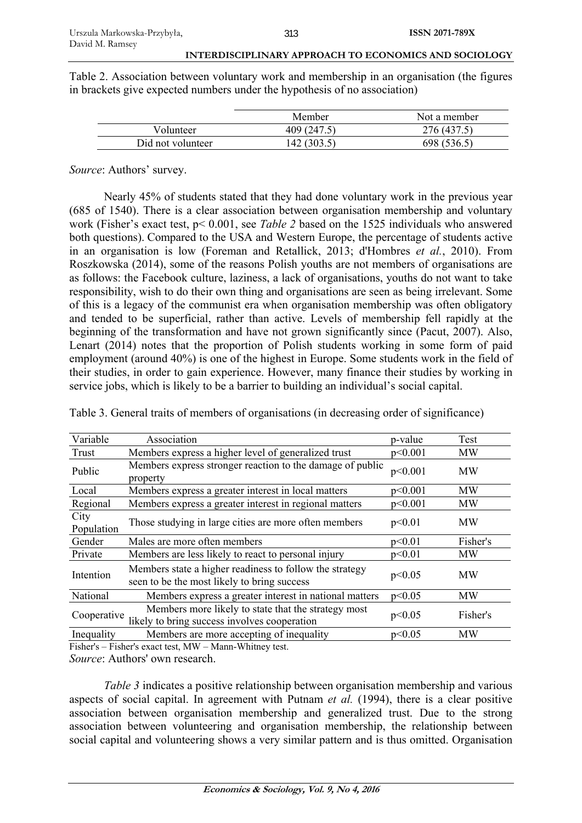Table 2. Association between voluntary work and membership in an organisation (the figures in brackets give expected numbers under the hypothesis of no association)

|                   | Member      | Not a member |
|-------------------|-------------|--------------|
| Volunteer         | 409 (247.5) | 276 (437.5)  |
| Did not volunteer | 142 (303.5) | 698 (536.5)  |

*Source*: Authors' survey.

Nearly 45% of students stated that they had done voluntary work in the previous year (685 of 1540). There is a clear association between organisation membership and voluntary work (Fisher's exact test, p< 0.001, see *Table 2* based on the 1525 individuals who answered both questions). Compared to the USA and Western Europe, the percentage of students active in an organisation is low (Foreman and Retallick, 2013; d'Hombres *et al.*, 2010). From Roszkowska (2014), some of the reasons Polish youths are not members of organisations are as follows: the Facebook culture, laziness, a lack of organisations, youths do not want to take responsibility, wish to do their own thing and organisations are seen as being irrelevant. Some of this is a legacy of the communist era when organisation membership was often obligatory and tended to be superficial, rather than active. Levels of membership fell rapidly at the beginning of the transformation and have not grown significantly since (Pacut, 2007). Also, Lenart (2014) notes that the proportion of Polish students working in some form of paid employment (around 40%) is one of the highest in Europe. Some students work in the field of their studies, in order to gain experience. However, many finance their studies by working in service jobs, which is likely to be a barrier to building an individual's social capital.

| Variable           | Association                                                                                            | p-value | Test      |
|--------------------|--------------------------------------------------------------------------------------------------------|---------|-----------|
| Trust              | Members express a higher level of generalized trust                                                    | p<0.001 | <b>MW</b> |
| Public             | Members express stronger reaction to the damage of public<br>property                                  | p<0.001 | <b>MW</b> |
| Local              | Members express a greater interest in local matters                                                    | p<0.001 | MW        |
| Regional           | Members express a greater interest in regional matters                                                 | p<0.001 | <b>MW</b> |
| City<br>Population | Those studying in large cities are more often members                                                  | p<0.01  | MW        |
| Gender             | Males are more often members                                                                           | p<0.01  | Fisher's  |
| Private            | Members are less likely to react to personal injury                                                    | p<0.01  | <b>MW</b> |
| Intention          | Members state a higher readiness to follow the strategy<br>seen to be the most likely to bring success | p<0.05  | <b>MW</b> |
| National           | Members express a greater interest in national matters                                                 | p<0.05  | MW        |
| Cooperative        | Members more likely to state that the strategy most<br>likely to bring success involves cooperation    | p<0.05  | Fisher's  |
| Inequality         | Members are more accepting of inequality                                                               | p<0.05  | <b>MW</b> |

Table 3. General traits of members of organisations (in decreasing order of significance)

Fisher's – Fisher's exact test, MW – Mann-Whitney test.

*Source*: Authors' own research.

*Table 3* indicates a positive relationship between organisation membership and various aspects of social capital. In agreement with Putnam *et al.* (1994), there is a clear positive association between organisation membership and generalized trust. Due to the strong association between volunteering and organisation membership, the relationship between social capital and volunteering shows a very similar pattern and is thus omitted. Organisation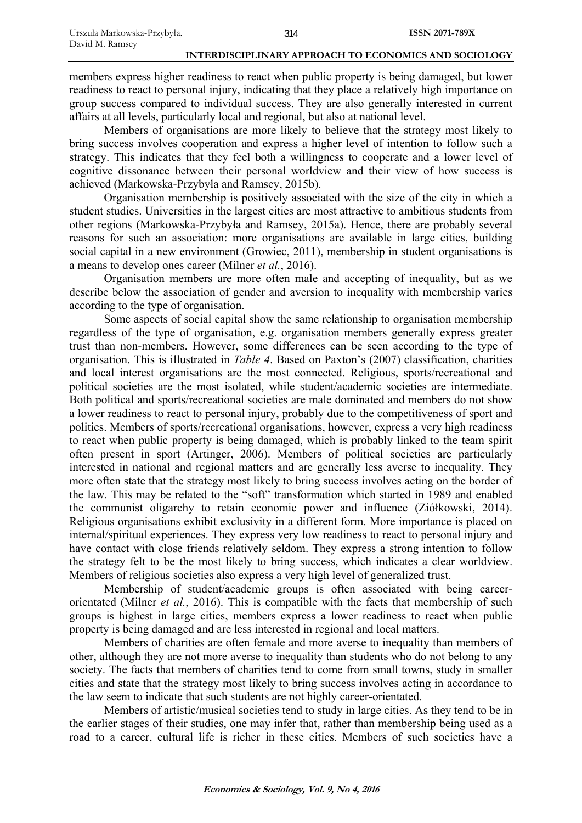members express higher readiness to react when public property is being damaged, but lower readiness to react to personal injury, indicating that they place a relatively high importance on group success compared to individual success. They are also generally interested in current affairs at all levels, particularly local and regional, but also at national level.

Members of organisations are more likely to believe that the strategy most likely to bring success involves cooperation and express a higher level of intention to follow such a strategy. This indicates that they feel both a willingness to cooperate and a lower level of cognitive dissonance between their personal worldview and their view of how success is achieved (Markowska-Przybyła and Ramsey, 2015b).

Organisation membership is positively associated with the size of the city in which a student studies. Universities in the largest cities are most attractive to ambitious students from other regions (Markowska-Przybyła and Ramsey, 2015a). Hence, there are probably several reasons for such an association: more organisations are available in large cities, building social capital in a new environment (Growiec, 2011), membership in student organisations is a means to develop ones career (Milner *et al.*, 2016).

Organisation members are more often male and accepting of inequality, but as we describe below the association of gender and aversion to inequality with membership varies according to the type of organisation.

Some aspects of social capital show the same relationship to organisation membership regardless of the type of organisation, e.g. organisation members generally express greater trust than non-members. However, some differences can be seen according to the type of organisation. This is illustrated in *Table 4*. Based on Paxton's (2007) classification, charities and local interest organisations are the most connected. Religious, sports/recreational and political societies are the most isolated, while student/academic societies are intermediate. Both political and sports/recreational societies are male dominated and members do not show a lower readiness to react to personal injury, probably due to the competitiveness of sport and politics. Members of sports/recreational organisations, however, express a very high readiness to react when public property is being damaged, which is probably linked to the team spirit often present in sport (Artinger, 2006). Members of political societies are particularly interested in national and regional matters and are generally less averse to inequality. They more often state that the strategy most likely to bring success involves acting on the border of the law. This may be related to the "soft" transformation which started in 1989 and enabled the communist oligarchy to retain economic power and influence (Ziółkowski, 2014). Religious organisations exhibit exclusivity in a different form. More importance is placed on internal/spiritual experiences. They express very low readiness to react to personal injury and have contact with close friends relatively seldom. They express a strong intention to follow the strategy felt to be the most likely to bring success, which indicates a clear worldview. Members of religious societies also express a very high level of generalized trust.

Membership of student/academic groups is often associated with being careerorientated (Milner *et al.*, 2016). This is compatible with the facts that membership of such groups is highest in large cities, members express a lower readiness to react when public property is being damaged and are less interested in regional and local matters.

Members of charities are often female and more averse to inequality than members of other, although they are not more averse to inequality than students who do not belong to any society. The facts that members of charities tend to come from small towns, study in smaller cities and state that the strategy most likely to bring success involves acting in accordance to the law seem to indicate that such students are not highly career-orientated.

Members of artistic/musical societies tend to study in large cities. As they tend to be in the earlier stages of their studies, one may infer that, rather than membership being used as a road to a career, cultural life is richer in these cities. Members of such societies have a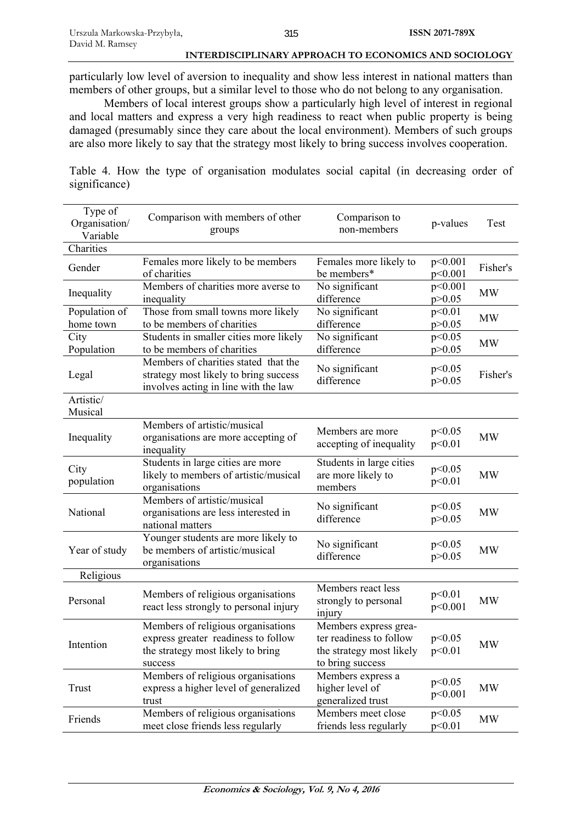particularly low level of aversion to inequality and show less interest in national matters than members of other groups, but a similar level to those who do not belong to any organisation.

Members of local interest groups show a particularly high level of interest in regional and local matters and express a very high readiness to react when public property is being damaged (presumably since they care about the local environment). Members of such groups are also more likely to say that the strategy most likely to bring success involves cooperation.

Table 4. How the type of organisation modulates social capital (in decreasing order of significance)

| Type of<br>Organisation/<br>Variable | Comparison with members of other<br>groups                                                                                | Comparison to<br>non-members                                                                     | p-values            | Test      |
|--------------------------------------|---------------------------------------------------------------------------------------------------------------------------|--------------------------------------------------------------------------------------------------|---------------------|-----------|
| Charities                            |                                                                                                                           |                                                                                                  |                     |           |
| Gender                               | Females more likely to be members<br>of charities                                                                         | Females more likely to<br>be members*                                                            | p<0.001<br>p<0.001  | Fisher's  |
| Inequality                           | Members of charities more averse to<br>inequality                                                                         | No significant<br>difference                                                                     | p<0.001<br>p > 0.05 | <b>MW</b> |
| Population of<br>home town           | Those from small towns more likely<br>to be members of charities                                                          | No significant<br>difference                                                                     | p<0.01<br>p > 0.05  | <b>MW</b> |
| City<br>Population                   | Students in smaller cities more likely<br>to be members of charities                                                      | No significant<br>difference                                                                     | p<0.05<br>p > 0.05  | <b>MW</b> |
| Legal                                | Members of charities stated that the<br>strategy most likely to bring success<br>involves acting in line with the law     | No significant<br>difference                                                                     | p<0.05<br>p > 0.05  | Fisher's  |
| Artistic/<br>Musical                 |                                                                                                                           |                                                                                                  |                     |           |
| Inequality                           | Members of artistic/musical<br>organisations are more accepting of<br>inequality                                          | Members are more<br>accepting of inequality                                                      | p<0.05<br>p<0.01    | <b>MW</b> |
| City<br>population                   | Students in large cities are more<br>likely to members of artistic/musical<br>organisations                               | Students in large cities<br>are more likely to<br>members                                        | p<0.05<br>p<0.01    | <b>MW</b> |
| National                             | Members of artistic/musical<br>organisations are less interested in<br>national matters                                   | No significant<br>difference                                                                     | p<0.05<br>p > 0.05  | <b>MW</b> |
| Year of study                        | Younger students are more likely to<br>be members of artistic/musical<br>organisations                                    | No significant<br>difference                                                                     | p<0.05<br>p > 0.05  | <b>MW</b> |
| Religious                            |                                                                                                                           |                                                                                                  |                     |           |
| Personal                             | Members of religious organisations<br>react less strongly to personal injury                                              | Members react less<br>strongly to personal<br>injury                                             | p<0.01<br>p<0.001   | <b>MW</b> |
| Intention                            | Members of religious organisations<br>express greater readiness to follow<br>the strategy most likely to bring<br>success | Members express grea-<br>ter readiness to follow<br>the strategy most likely<br>to bring success | p<0.05<br>p<0.01    | <b>MW</b> |
| Trust                                | Members of religious organisations<br>express a higher level of generalized<br>trust                                      | Members express a<br>higher level of<br>generalized trust                                        | p<0.05<br>p<0.001   | <b>MW</b> |
| Friends                              | Members of religious organisations<br>meet close friends less regularly                                                   | Members meet close<br>friends less regularly                                                     | p<0.05<br>p<0.01    | <b>MW</b> |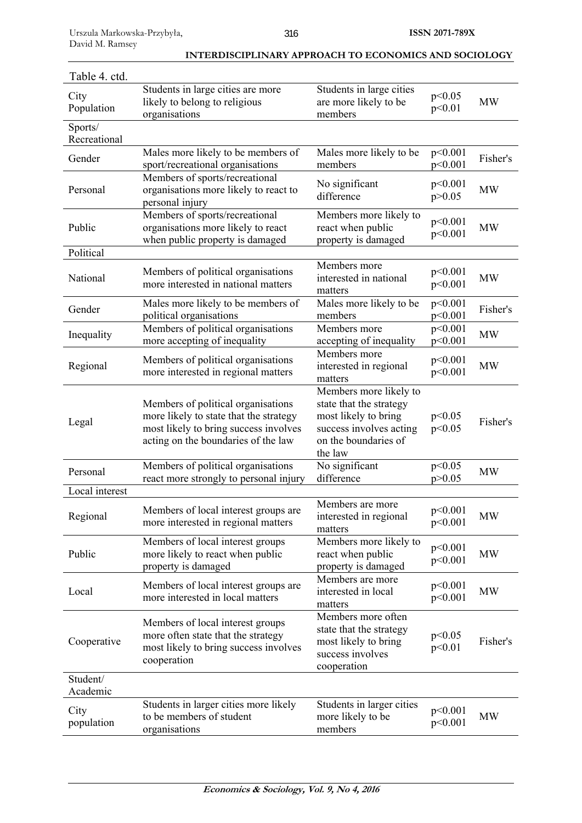| Table 4. ctd.           |                                                                                                                                                              |                                                                                                                                         |                     |           |
|-------------------------|--------------------------------------------------------------------------------------------------------------------------------------------------------------|-----------------------------------------------------------------------------------------------------------------------------------------|---------------------|-----------|
| City<br>Population      | Students in large cities are more<br>likely to belong to religious<br>organisations                                                                          | Students in large cities<br>are more likely to be<br>members                                                                            | p<0.05<br>p<0.01    | <b>MW</b> |
| Sports/<br>Recreational |                                                                                                                                                              |                                                                                                                                         |                     |           |
| Gender                  | Males more likely to be members of<br>sport/recreational organisations                                                                                       | Males more likely to be<br>members                                                                                                      | p<0.001<br>p<0.001  | Fisher's  |
| Personal                | Members of sports/recreational<br>organisations more likely to react to<br>personal injury                                                                   | No significant<br>difference                                                                                                            | p<0.001<br>p > 0.05 | <b>MW</b> |
| Public                  | Members of sports/recreational<br>organisations more likely to react<br>when public property is damaged                                                      | Members more likely to<br>react when public<br>property is damaged                                                                      | p<0.001<br>p<0.001  | <b>MW</b> |
| Political               |                                                                                                                                                              |                                                                                                                                         |                     |           |
| National                | Members of political organisations<br>more interested in national matters                                                                                    | Members more<br>interested in national<br>matters                                                                                       | p<0.001<br>p<0.001  | <b>MW</b> |
| Gender                  | Males more likely to be members of<br>political organisations                                                                                                | Males more likely to be<br>members                                                                                                      | p<0.001<br>p<0.001  | Fisher's  |
| Inequality              | Members of political organisations<br>more accepting of inequality                                                                                           | Members more<br>accepting of inequality                                                                                                 | p<0.001<br>p<0.001  | <b>MW</b> |
| Regional                | Members of political organisations<br>more interested in regional matters                                                                                    | Members more<br>interested in regional<br>matters                                                                                       | p<0.001<br>p<0.001  | <b>MW</b> |
| Legal                   | Members of political organisations<br>more likely to state that the strategy<br>most likely to bring success involves<br>acting on the boundaries of the law | Members more likely to<br>state that the strategy<br>most likely to bring<br>success involves acting<br>on the boundaries of<br>the law | p<0.05<br>p<0.05    | Fisher's  |
| Personal                | Members of political organisations<br>react more strongly to personal injury                                                                                 | No significant<br>difference                                                                                                            | p<0.05<br>p > 0.05  | <b>MW</b> |
| Local interest          |                                                                                                                                                              |                                                                                                                                         |                     |           |
| Regional                | Members of local interest groups are<br>more interested in regional matters                                                                                  | Members are more<br>interested in regional<br>matters                                                                                   | p<0.001<br>p<0.001  | <b>MW</b> |
| Public                  | Members of local interest groups<br>more likely to react when public<br>property is damaged                                                                  | Members more likely to<br>react when public<br>property is damaged                                                                      | p<0.001<br>p<0.001  | <b>MW</b> |
| Local                   | Members of local interest groups are<br>more interested in local matters                                                                                     | Members are more<br>interested in local<br>matters                                                                                      | p<0.001<br>p<0.001  | <b>MW</b> |
| Cooperative             | Members of local interest groups<br>more often state that the strategy<br>most likely to bring success involves<br>cooperation                               | Members more often<br>state that the strategy<br>most likely to bring<br>success involves<br>cooperation                                | p<0.05<br>p<0.01    | Fisher's  |
| Student/<br>Academic    |                                                                                                                                                              |                                                                                                                                         |                     |           |
| City<br>population      | Students in larger cities more likely<br>to be members of student<br>organisations                                                                           | Students in larger cities<br>more likely to be<br>members                                                                               | p<0.001<br>p<0.001  | <b>MW</b> |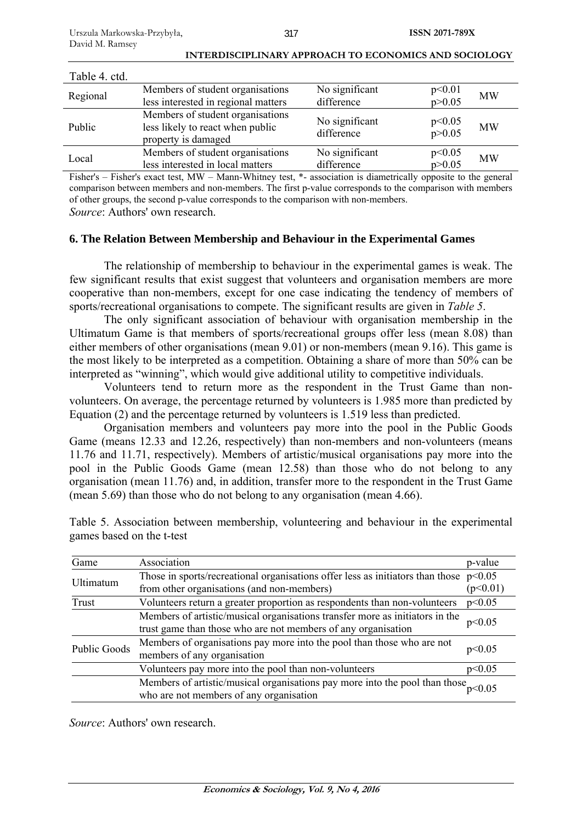| Table 4. ctd. |                                                                                             |                              |                    |           |
|---------------|---------------------------------------------------------------------------------------------|------------------------------|--------------------|-----------|
| Regional      | Members of student organisations<br>less interested in regional matters                     | No significant<br>difference | p<0.01<br>p > 0.05 | <b>MW</b> |
| Public        | Members of student organisations<br>less likely to react when public<br>property is damaged | No significant<br>difference | p<0.05<br>p > 0.05 | <b>MW</b> |
| Local         | Members of student organisations<br>less interested in local matters                        | No significant<br>difference | p<0.05<br>p > 0.05 | <b>MW</b> |

Fisher's – Fisher's exact test, MW – Mann-Whitney test, \*- association is diametrically opposite to the general comparison between members and non-members. The first p-value corresponds to the comparison with members of other groups, the second p-value corresponds to the comparison with non-members. *Source*: Authors' own research.

### **6. The Relation Between Membership and Behaviour in the Experimental Games**

The relationship of membership to behaviour in the experimental games is weak. The few significant results that exist suggest that volunteers and organisation members are more cooperative than non-members, except for one case indicating the tendency of members of sports/recreational organisations to compete. The significant results are given in *Table 5*.

The only significant association of behaviour with organisation membership in the Ultimatum Game is that members of sports/recreational groups offer less (mean 8.08) than either members of other organisations (mean 9.01) or non-members (mean 9.16). This game is the most likely to be interpreted as a competition. Obtaining a share of more than 50% can be interpreted as "winning", which would give additional utility to competitive individuals.

Volunteers tend to return more as the respondent in the Trust Game than nonvolunteers. On average, the percentage returned by volunteers is 1.985 more than predicted by Equation (2) and the percentage returned by volunteers is 1.519 less than predicted.

Organisation members and volunteers pay more into the pool in the Public Goods Game (means 12.33 and 12.26, respectively) than non-members and non-volunteers (means 11.76 and 11.71, respectively). Members of artistic/musical organisations pay more into the pool in the Public Goods Game (mean 12.58) than those who do not belong to any organisation (mean 11.76) and, in addition, transfer more to the respondent in the Trust Game (mean 5.69) than those who do not belong to any organisation (mean 4.66).

| Game                | Association                                                                                                            | p-value  |
|---------------------|------------------------------------------------------------------------------------------------------------------------|----------|
| Ultimatum           | Those in sports/recreational organisations offer less as initiators than those $p<0.05$                                |          |
|                     | from other organisations (and non-members)                                                                             | (p<0.01) |
| Trust               | Volunteers return a greater proportion as respondents than non-volunteers<br>p<0.05                                    |          |
|                     | Members of artistic/musical organisations transfer more as initiators in the                                           | p<0.05   |
|                     | trust game than those who are not members of any organisation                                                          |          |
| <b>Public Goods</b> | Members of organisations pay more into the pool than those who are not                                                 | p<0.05   |
|                     | members of any organisation                                                                                            |          |
|                     | Volunteers pay more into the pool than non-volunteers                                                                  |          |
|                     | Members of artistic/musical organisations pay more into the pool than those<br>who are not members of any organisation |          |
|                     |                                                                                                                        |          |

Table 5. Association between membership, volunteering and behaviour in the experimental games based on the t-test

*Source*: Authors' own research.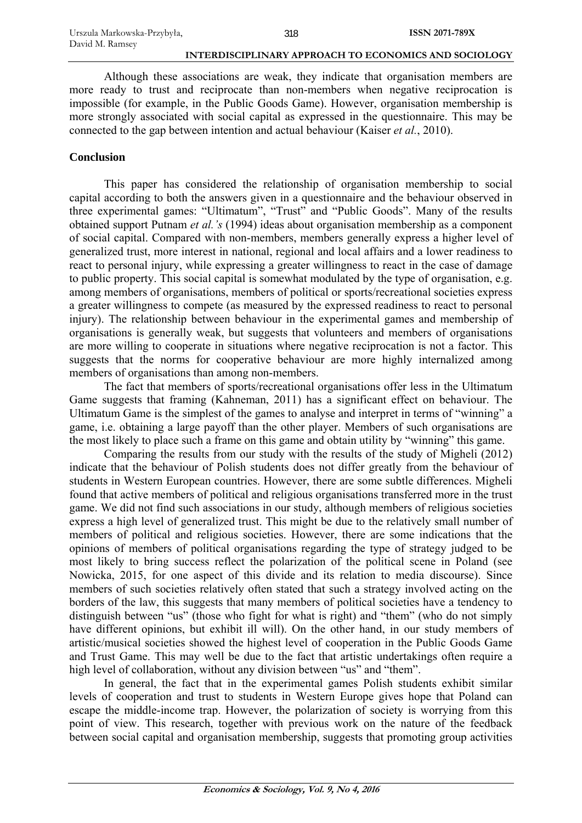Although these associations are weak, they indicate that organisation members are more ready to trust and reciprocate than non-members when negative reciprocation is impossible (for example, in the Public Goods Game). However, organisation membership is more strongly associated with social capital as expressed in the questionnaire. This may be connected to the gap between intention and actual behaviour (Kaiser *et al.*, 2010).

### **Conclusion**

This paper has considered the relationship of organisation membership to social capital according to both the answers given in a questionnaire and the behaviour observed in three experimental games: "Ultimatum", "Trust" and "Public Goods". Many of the results obtained support Putnam *et al.'s* (1994) ideas about organisation membership as a component of social capital. Compared with non-members, members generally express a higher level of generalized trust, more interest in national, regional and local affairs and a lower readiness to react to personal injury, while expressing a greater willingness to react in the case of damage to public property. This social capital is somewhat modulated by the type of organisation, e.g. among members of organisations, members of political or sports/recreational societies express a greater willingness to compete (as measured by the expressed readiness to react to personal injury). The relationship between behaviour in the experimental games and membership of organisations is generally weak, but suggests that volunteers and members of organisations are more willing to cooperate in situations where negative reciprocation is not a factor. This suggests that the norms for cooperative behaviour are more highly internalized among members of organisations than among non-members.

The fact that members of sports/recreational organisations offer less in the Ultimatum Game suggests that framing (Kahneman, 2011) has a significant effect on behaviour. The Ultimatum Game is the simplest of the games to analyse and interpret in terms of "winning" a game, i.e. obtaining a large payoff than the other player. Members of such organisations are the most likely to place such a frame on this game and obtain utility by "winning" this game.

Comparing the results from our study with the results of the study of Migheli (2012) indicate that the behaviour of Polish students does not differ greatly from the behaviour of students in Western European countries. However, there are some subtle differences. Migheli found that active members of political and religious organisations transferred more in the trust game. We did not find such associations in our study, although members of religious societies express a high level of generalized trust. This might be due to the relatively small number of members of political and religious societies. However, there are some indications that the opinions of members of political organisations regarding the type of strategy judged to be most likely to bring success reflect the polarization of the political scene in Poland (see Nowicka, 2015, for one aspect of this divide and its relation to media discourse). Since members of such societies relatively often stated that such a strategy involved acting on the borders of the law, this suggests that many members of political societies have a tendency to distinguish between "us" (those who fight for what is right) and "them" (who do not simply have different opinions, but exhibit ill will). On the other hand, in our study members of artistic/musical societies showed the highest level of cooperation in the Public Goods Game and Trust Game. This may well be due to the fact that artistic undertakings often require a high level of collaboration, without any division between "us" and "them".

In general, the fact that in the experimental games Polish students exhibit similar levels of cooperation and trust to students in Western Europe gives hope that Poland can escape the middle-income trap. However, the polarization of society is worrying from this point of view. This research, together with previous work on the nature of the feedback between social capital and organisation membership, suggests that promoting group activities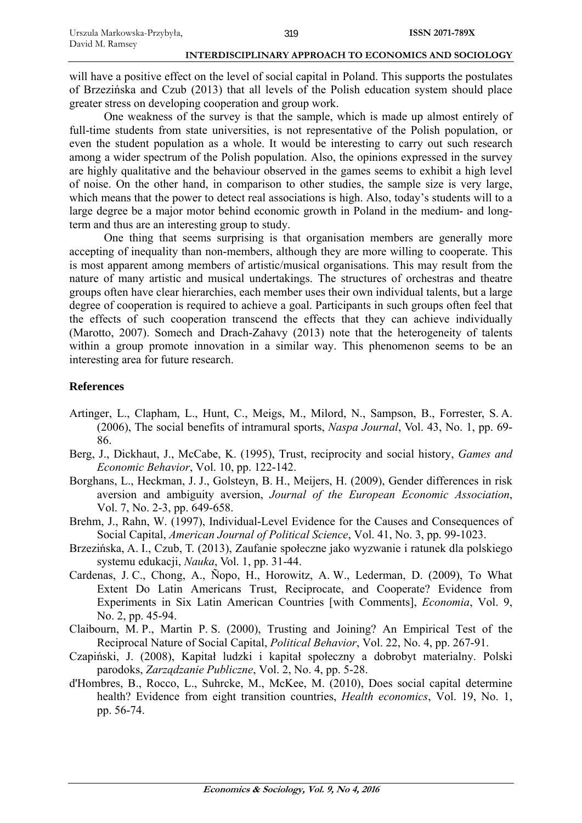will have a positive effect on the level of social capital in Poland. This supports the postulates of Brzezińska and Czub (2013) that all levels of the Polish education system should place greater stress on developing cooperation and group work.

One weakness of the survey is that the sample, which is made up almost entirely of full-time students from state universities, is not representative of the Polish population, or even the student population as a whole. It would be interesting to carry out such research among a wider spectrum of the Polish population. Also, the opinions expressed in the survey are highly qualitative and the behaviour observed in the games seems to exhibit a high level of noise. On the other hand, in comparison to other studies, the sample size is very large, which means that the power to detect real associations is high. Also, today's students will to a large degree be a major motor behind economic growth in Poland in the medium- and longterm and thus are an interesting group to study.

One thing that seems surprising is that organisation members are generally more accepting of inequality than non-members, although they are more willing to cooperate. This is most apparent among members of artistic/musical organisations. This may result from the nature of many artistic and musical undertakings. The structures of orchestras and theatre groups often have clear hierarchies, each member uses their own individual talents, but a large degree of cooperation is required to achieve a goal. Participants in such groups often feel that the effects of such cooperation transcend the effects that they can achieve individually (Marotto, 2007). Somech and Drach-Zahavy (2013) note that the heterogeneity of talents within a group promote innovation in a similar way. This phenomenon seems to be an interesting area for future research.

# **References**

- Artinger, L., Clapham, L., Hunt, C., Meigs, M., Milord, N., Sampson, B., Forrester, S. A. (2006), The social benefits of intramural sports, *Naspa Journal*, Vol. 43, No. 1, pp. 69- 86.
- Berg, J., Dickhaut, J., McCabe, K. (1995), Trust, reciprocity and social history, *Games and Economic Behavior*, Vol. 10, pp. 122-142.
- Borghans, L., Heckman, J. J., Golsteyn, B. H., Meijers, H. (2009), Gender differences in risk aversion and ambiguity aversion, *Journal of the European Economic Association*, Vol. 7, No. 2-3, pp. 649-658.
- Brehm, J., Rahn, W. (1997), Individual-Level Evidence for the Causes and Consequences of Social Capital, *American Journal of Political Science*, Vol. 41, No. 3, pp. 99-1023.
- Brzezińska, A. I., Czub, T. (2013), Zaufanie społeczne jako wyzwanie i ratunek dla polskiego systemu edukacji, *Nauka*, Vol. 1, pp. 31-44.
- Cardenas, J. C., Chong, A., Ñopo, H., Horowitz, A. W., Lederman, D. (2009), To What Extent Do Latin Americans Trust, Reciprocate, and Cooperate? Evidence from Experiments in Six Latin American Countries [with Comments], *Economia*, Vol. 9, No. 2, pp. 45-94.
- Claibourn, M. P., Martin P. S. (2000), Trusting and Joining? An Empirical Test of the Reciprocal Nature of Social Capital, *Political Behavior*, Vol. 22, No. 4, pp. 267-91.
- Czapiński, J. (2008), Kapitał ludzki i kapitał społeczny a dobrobyt materialny. Polski parodoks, *Zarządzanie Publiczne*, Vol. 2, No. 4, pp. 5-28.
- d'Hombres, B., Rocco, L., Suhrcke, M., McKee, M. (2010), Does social capital determine health? Evidence from eight transition countries, *Health economics*, Vol. 19, No. 1, pp. 56-74.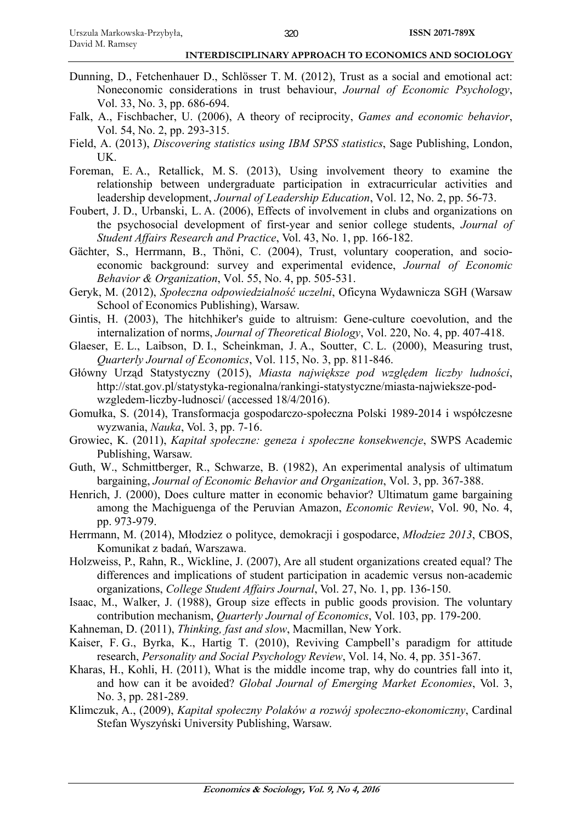- Dunning, D., Fetchenhauer D., Schlösser T. M. (2012), Trust as a social and emotional act: Noneconomic considerations in trust behaviour, *Journal of Economic Psychology*, Vol. 33, No. 3, pp. 686-694.
- Falk, A., Fischbacher, U. (2006), A theory of reciprocity, *Games and economic behavior*, Vol. 54, No. 2, pp. 293-315.
- Field, A. (2013), *Discovering statistics using IBM SPSS statistics*, Sage Publishing, London, UK.
- Foreman, E. A., Retallick, M. S. (2013), Using involvement theory to examine the relationship between undergraduate participation in extracurricular activities and leadership development, *Journal of Leadership Education*, Vol. 12, No. 2, pp. 56-73.
- Foubert, J. D., Urbanski, L. A. (2006), Effects of involvement in clubs and organizations on the psychosocial development of first-year and senior college students, *Journal of Student Affairs Research and Practice*, Vol. 43, No. 1, pp. 166-182.
- Gächter, S., Herrmann, B., Thöni, C. (2004), Trust, voluntary cooperation, and socioeconomic background: survey and experimental evidence, *Journal of Economic Behavior & Organization*, Vol. 55, No. 4, pp. 505-531.
- Geryk, M. (2012), *Społeczna odpowiedzialność uczelni*, Oficyna Wydawnicza SGH (Warsaw School of Economics Publishing), Warsaw.
- Gintis, H. (2003), The hitchhiker's guide to altruism: Gene-culture coevolution, and the internalization of norms, *Journal of Theoretical Biology*, Vol. 220, No. 4, pp. 407-418.
- Glaeser, E. L., Laibson, D. I., Scheinkman, J. A., Soutter, C. L. (2000), Measuring trust, *Quarterly Journal of Economics*, Vol. 115, No. 3, pp. 811-846.
- Główny Urząd Statystyczny (2015), *Miasta największe pod względem liczby ludności*, http://stat.gov.pl/statystyka-regionalna/rankingi-statystyczne/miasta-najwieksze-podwzgledem-liczby-ludnosci/ (accessed 18/4/2016).
- Gomułka, S. (2014), Transformacja gospodarczo-społeczna Polski 1989-2014 i współczesne wyzwania, *Nauka*, Vol. 3, pp. 7-16.
- Growiec, K. (2011), *Kapitał społeczne: geneza i społeczne konsekwencje*, SWPS Academic Publishing, Warsaw.
- Guth, W., Schmittberger, R., Schwarze, B. (1982), An experimental analysis of ultimatum bargaining, *Journal of Economic Behavior and Organization*, Vol. 3, pp. 367-388.
- Henrich, J. (2000), Does culture matter in economic behavior? Ultimatum game bargaining among the Machiguenga of the Peruvian Amazon, *Economic Review*, Vol. 90, No. 4, pp. 973-979.
- Herrmann, M. (2014), Młodziez o polityce, demokracji i gospodarce, *Młodziez 2013*, CBOS, Komunikat z badań, Warszawa.
- Holzweiss, P., Rahn, R., Wickline, J. (2007), Are all student organizations created equal? The differences and implications of student participation in academic versus non-academic organizations, *College Student Affairs Journal*, Vol. 27, No. 1, pp. 136-150.
- Isaac, M., Walker, J. (1988), Group size effects in public goods provision. The voluntary contribution mechanism, *Quarterly Journal of Economics*, Vol. 103, pp. 179-200.
- Kahneman, D. (2011), *Thinking, fast and slow*, Macmillan, New York.
- Kaiser, F. G., Byrka, K., Hartig T. (2010), Reviving Campbell's paradigm for attitude research, *Personality and Social Psychology Review*, Vol. 14, No. 4, pp. 351-367.
- Kharas, H., Kohli, H. (2011), What is the middle income trap, why do countries fall into it, and how can it be avoided? *Global Journal of Emerging Market Economies*, Vol. 3, No. 3, pp. 281-289.
- Klimczuk, A., (2009), *Kapitał społeczny Polaków a rozwój społeczno-ekonomiczny*, Cardinal Stefan Wyszyński University Publishing, Warsaw.